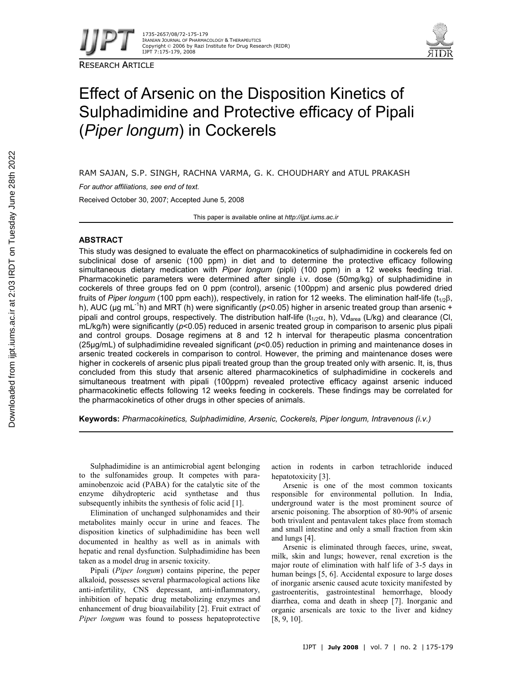

RESEARCH ARTICLE



# Effect of Arsenic on the Disposition Kinetics of Sulphadimidine and Protective efficacy of Pipali (*Piper longum*) in Cockerels

RAM SAJAN, S.P. SINGH, RACHNA VARMA, G. K. CHOUDHARY and ATUL PRAKASH

*For author affiliations, see end of text.*

Received October 30, 2007; Accepted June 5, 2008

This paper is available online at *http://ijpt.iums.ac.ir*

# **ABSTRACT**

This study was designed to evaluate the effect on pharmacokinetics of sulphadimidine in cockerels fed on subclinical dose of arsenic (100 ppm) in diet and to determine the protective efficacy following simultaneous dietary medication with *Piper longum* (pipli) (100 ppm) in a 12 weeks feeding trial. Pharmacokinetic parameters were determined after single i.v. dose (50mg/kg) of sulphadimidine in cockerels of three groups fed on 0 ppm (control), arsenic (100ppm) and arsenic plus powdered dried fruits of *Piper longum* (100 ppm each)), respectively, in ration for 12 weeks. The elimination half-life ( $t_{1/2}\beta$ , h), AUC (µg mL<sup>-1</sup>h) and MRT (h) were significantly (p<0.05) higher in arsenic treated group than arsenic + pipali and control groups, respectively. The distribution half-life ( $t_{1/2}$  $\alpha$ , h), Vd<sub>area</sub> (L/kg) and clearance (Cl, mL/kg/h) were significantly (*p*<0.05) reduced in arsenic treated group in comparison to arsenic plus pipali and control groups. Dosage regimens at 8 and 12 h interval for therapeutic plasma concentration (25µg/mL) of sulphadimidine revealed significant (*p*<0.05) reduction in priming and maintenance doses in arsenic treated cockerels in comparison to control. However, the priming and maintenance doses were higher in cockerels of arsenic plus pipali treated group than the group treated only with arsenic. It, is, thus concluded from this study that arsenic altered pharmacokinetics of sulphadimidine in cockerels and simultaneous treatment with pipali (100ppm) revealed protective efficacy against arsenic induced pharmacokinetic effects following 12 weeks feeding in cockerels. These findings may be correlated for the pharmacokinetics of other drugs in other species of animals.

**Keywords:** *Pharmacokinetics, Sulphadimidine, Arsenic, Cockerels, Piper longum, Intravenous (i.v.)*

Sulphadimidine is an antimicrobial agent belonging to the sulfonamides group. It competes with paraaminobenzoic acid (PABA) for the catalytic site of the enzyme dihydropteric acid synthetase and thus subsequently inhibits the synthesis of folic acid [1].

Elimination of unchanged sulphonamides and their metabolites mainly occur in urine and feaces. The disposition kinetics of sulphadimidine has been well documented in healthy as well as in animals with hepatic and renal dysfunction. Sulphadimidine has been taken as a model drug in arsenic toxicity.

Pipali (*Piper longum*) contains piperine, the peper alkaloid, possesses several pharmacological actions like anti-infertility, CNS depressant, anti-inflammatory, inhibition of hepatic drug metabolizing enzymes and enhancement of drug bioavailability [2]. Fruit extract of *Piper longum* was found to possess hepatoprotective

action in rodents in carbon tetrachloride induced hepatotoxicity [3].

Arsenic is one of the most common toxicants responsible for environmental pollution. In India, underground water is the most prominent source of arsenic poisoning. The absorption of 80-90% of arsenic both trivalent and pentavalent takes place from stomach and small intestine and only a small fraction from skin and lungs [4].

Arsenic is eliminated through faeces, urine, sweat, milk, skin and lungs; however, renal excretion is the major route of elimination with half life of 3-5 days in human beings [5, 6]. Accidental exposure to large doses of inorganic arsenic caused acute toxicity manifested by gastroenteritis, gastrointestinal hemorrhage, bloody diarrhea, coma and death in sheep [7]. Inorganic and organic arsenicals are toxic to the liver and kidney [8, 9, 10].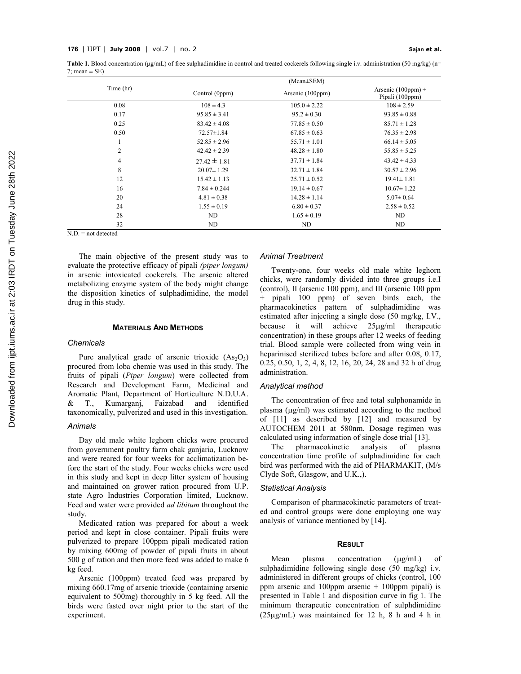**Table 1.** Blood concentration ( $\mu$ g/mL) of free sulphadimidine in control and treated cockerels following single i.v. administration (50 mg/kg) (n= 7; mean  $\pm$  SE)

|                | $(Mean \pm SEM)$ |                  |                                         |  |  |
|----------------|------------------|------------------|-----------------------------------------|--|--|
| Time (hr)      | Control (0ppm)   | Arsenic (100ppm) | Arsenic $(100ppm)$ +<br>Pipali (100ppm) |  |  |
| 0.08           | $108 \pm 4.3$    | $105.0 \pm 2.22$ | $108 \pm 2.59$                          |  |  |
| 0.17           | $95.85 \pm 3.41$ | $95.2 \pm 0.30$  | $93.85 \pm 0.88$                        |  |  |
| 0.25           | $83.42 \pm 4.08$ | $77.85 \pm 0.50$ | $85.71 \pm 1.28$                        |  |  |
| 0.50           | $72.57 \pm 1.84$ | $67.85 \pm 0.63$ | $76.35 \pm 2.98$                        |  |  |
| 1              | $52.85 \pm 2.96$ | $55.71 \pm 1.01$ | $66.14 \pm 5.05$                        |  |  |
| $\overline{2}$ | $42.42 \pm 2.39$ | $48.28 \pm 1.80$ | $55.85 \pm 5.25$                        |  |  |
| $\overline{4}$ | $27.42 \pm 1.81$ | $37.71 \pm 1.84$ | $43.42 \pm 4.33$                        |  |  |
| 8              | $20.07 \pm 1.29$ | $32.71 \pm 1.84$ | $30.57 \pm 2.96$                        |  |  |
| 12             | $15.42 \pm 1.13$ | $25.71 \pm 0.52$ | $19.41 \pm 1.81$                        |  |  |
| 16             | $7.84 \pm 0.244$ | $19.14 \pm 0.67$ | $10.67 \pm 1.22$                        |  |  |
| 20             | $4.81 \pm 0.38$  | $14.28 \pm 1.14$ | $5.07 \pm 0.64$                         |  |  |
| 24             | $1.55 \pm 0.19$  | $6.80 \pm 0.37$  | $2.58 \pm 0.52$                         |  |  |
| 28             | ND               | $1.65 \pm 0.19$  | ND                                      |  |  |
| 32             | ND               | ND               | ND                                      |  |  |

 $\overline{N.D.}$  = not detected

The main objective of the present study was to evaluate the protective efficacy of pipali *(piper longum)* in arsenic intoxicated cockerels. The arsenic altered metabolizing enzyme system of the body might change the disposition kinetics of sulphadimidine, the model drug in this study.

# **MATERIALS AND METHODS**

#### *Chemicals*

Pure analytical grade of arsenic trioxide  $(As<sub>2</sub>O<sub>3</sub>)$ procured from loba chemie was used in this study. The fruits of pipali (*Piper longum*) were collected from Research and Development Farm, Medicinal and Aromatic Plant, Department of Horticulture N.D.U.A. & T., Kumarganj, Faizabad and identified taxonomically, pulverized and used in this investigation.

# *Animals*

Day old male white leghorn chicks were procured from government poultry farm chak ganjaria, Lucknow and were reared for four weeks for acclimatization before the start of the study. Four weeks chicks were used in this study and kept in deep litter system of housing and maintained on grower ration procured from U.P. state Agro Industries Corporation limited, Lucknow. Feed and water were provided *ad libitum* throughout the study.

Medicated ration was prepared for about a week period and kept in close container. Pipali fruits were pulverized to prepare 100ppm pipali medicated ration by mixing 600mg of powder of pipali fruits in about 500 g of ration and then more feed was added to make 6 kg feed.

Arsenic (100ppm) treated feed was prepared by mixing 660.17mg of arsenic trioxide (containing arsenic equivalent to 500mg) thoroughly in 5 kg feed. All the birds were fasted over night prior to the start of the experiment.

# *Animal Treatment*

Twenty-one, four weeks old male white leghorn chicks, were randomly divided into three groups i.e.I (control), II (arsenic 100 ppm), and III (arsenic 100 ppm pipali 100 ppm) of seven birds each, the pharmacokinetics pattern of sulphadimidine was estimated after injecting a single dose (50 mg/kg, I.V., because it will achieve  $25\mu g/ml$  therapeutic concentration) in these groups after 12 weeks of feeding trial. Blood sample were collected from wing vein in heparinised sterilized tubes before and after 0.08, 0.17, 0.25, 0.50, 1, 2, 4, 8, 12, 16, 20, 24, 28 and 32 h of drug administration.

#### *Analytical method*

The concentration of free and total sulphonamide in plasma  $(\mu\alpha/ml)$  was estimated according to the method of [11] as described by [12] and measured by AUTOCHEM 2011 at 580nm. Dosage regimen was calculated using information of single dose trial [13].

The pharmacokinetic analysis of plasma concentration time profile of sulphadimidine for each bird was performed with the aid of PHARMAKIT, (M/s Clyde Soft, Glasgow, and U.K.,).

# *Statistical Analysis*

Comparison of pharmacokinetic parameters of treated and control groups were done employing one way analysis of variance mentioned by [14].

# **RESULT**

Mean plasma concentration  $(\mu g/mL)$  of sulphadimidine following single dose (50 mg/kg) i.v. administered in different groups of chicks (control, 100 ppm arsenic and 100ppm arsenic + 100ppm pipali) is presented in Table 1 and disposition curve in fig 1. The minimum therapeutic concentration of sulphdimidine  $(25\mu g/mL)$  was maintained for 12 h, 8 h and 4 h in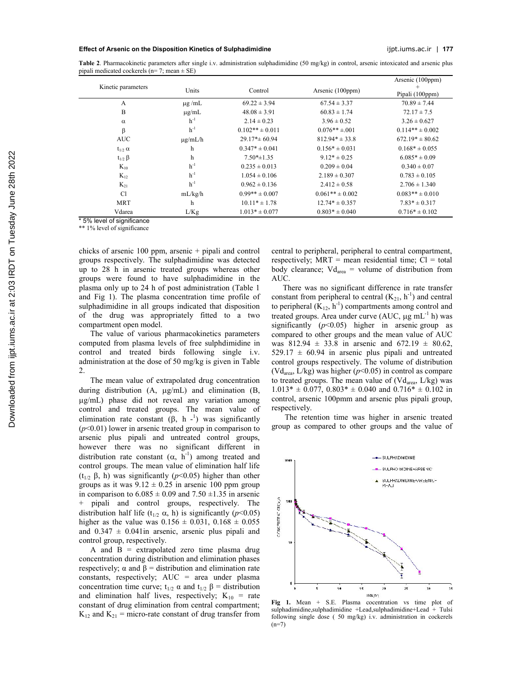#### **Effect of Arsenic on the Disposition Kinetics of Sulphadimidine** ijpt.iums.ac.ir | **177**

**Table 2**. Pharmacokinetic parameters after single i.v. administration sulphadimidine (50 mg/kg) in control, arsenic intoxicated and arsenic plus pipali medicated cockerels (n= 7; mean ± SE)

|                    |              |                     |                     | Arsenic (100ppm)    |
|--------------------|--------------|---------------------|---------------------|---------------------|
| Kinetic parameters | Units        | Control             | Arsenic (100ppm)    |                     |
|                    |              |                     |                     | Pipali (100ppm)     |
| A                  | $\mu$ g/mL   | $69.22 \pm 3.94$    | $67.54 \pm 3.37$    | $70.89 \pm 7.44$    |
| B                  | $\mu$ g/mL   | $48.08 \pm 3.91$    | $60.83 \pm 1.74$    | $72.17 \pm 7.5$     |
| $\alpha$           | $h^{-1}$     | $2.14 \pm 0.23$     | $3.96 \pm 0.52$     | $3.26 \pm 0.627$    |
| β                  | $h^{-1}$     | $0.102** \pm 0.011$ | $0.076**+0.01$      | $0.114** \pm 0.002$ |
| <b>AUC</b>         | $\mu$ g/mL/h | $29.17* \pm 60.94$  | $812.94* \pm 33.8$  | $672.19* \pm 80.62$ |
| $t_{1/2}$ $\alpha$ | h            | $0.347* \pm 0.041$  | $0.156* \pm 0.031$  | $0.168* \pm 0.055$  |
| $t_{1/2}$ $\beta$  | $\mathbf h$  | $7.50* \pm 1.35$    | $9.12* \pm 0.25$    | $6.085* \pm 0.09$   |
| $K_{10}$           | $h^{-1}$     | $0.235 \pm 0.013$   | $0.209 \pm 0.04$    | $0.340 \pm 0.07$    |
| $K_{12}$           | $h^{-1}$     | $1.054 \pm 0.106$   | $2.189 \pm 0.307$   | $0.783 \pm 0.105$   |
| $K_{21}$           | $h^{-1}$     | $0.962 \pm 0.136$   | $2.412 \pm 0.58$    | $2.706 \pm 1.340$   |
| <b>Cl</b>          | mL/kg/h      | $0.99** \pm 0.007$  | $0.061** \pm 0.002$ | $0.083** \pm 0.010$ |
| <b>MRT</b>         | h            | $10.11* \pm 1.78$   | $12.74* \pm 0.357$  | $7.83* \pm 0.317$   |
| Vdarea             | L/Kg         | $1.013* \pm 0.077$  | $0.803* \pm 0.040$  | $0.716* \pm 0.102$  |

\* 5% level of significance

\*\* 1% level of significance

chicks of arsenic 100 ppm, arsenic + pipali and control groups respectively. The sulphadimidine was detected up to 28 h in arsenic treated groups whereas other groups were found to have sulphadimidine in the plasma only up to 24 h of post administration (Table 1 and Fig 1). The plasma concentration time profile of sulphadimidine in all groups indicated that disposition of the drug was appropriately fitted to a two compartment open model.

The value of various pharmacokinetics parameters computed from plasma levels of free sulphdimidine in control and treated birds following single i.v. administration at the dose of 50 mg/kg is given in Table 2.

The mean value of extrapolated drug concentration during distribution  $(A, \mu g/mL)$  and elimination  $(B, \mu g)$ g/mL) phase did not reveal any variation among control and treated groups. The mean value of elimination rate constant  $(\beta, h^{-1})$  was significantly (*p*<0.01) lower in arsenic treated group in comparison to arsenic plus pipali and untreated control groups, however there was no significant different in distribution rate constant  $(\alpha, h^{-1})$  among treated and control groups. The mean value of elimination half life  $(t_{1/2} \beta, h)$  was significantly ( $p<0.05$ ) higher than other groups as it was  $9.12 \pm 0.25$  in arsenic 100 ppm group in comparison to  $6.085 \pm 0.09$  and  $7.50 \pm 1.35$  in arsenic + pipali and control groups, respectively. The distribution half life ( $t_{1/2}$   $\alpha$ , h) is significantly ( $p$ <0.05) higher as the value was  $0.156 \pm 0.031$ ,  $0.168 \pm 0.055$ and  $0.347 \pm 0.041$  in arsenic, arsenic plus pipali and control group, respectively.

A and  $B =$  extrapolated zero time plasma drug concentration during distribution and elimination phases respectively;  $\alpha$  and  $\beta$  = distribution and elimination rate constants, respectively;  $AUC = area$  under plasma concentration time curve;  $t_{1/2}$   $\alpha$  and  $t_{1/2}$   $\beta$  = distribution and elimination half lives, respectively;  $K_{10}$  = rate constant of drug elimination from central compartment;  $K_{12}$  and  $K_{21}$  = micro-rate constant of drug transfer from central to peripheral, peripheral to central compartment, respectively;  $MRT$  = mean residential time;  $Cl$  = total body clearance;  $Vd_{area} =$  volume of distribution from AUC.

There was no significant difference in rate transfer constant from peripheral to central  $(K_{21}, h^{-1})$  and central to peripheral  $(K_{12}, h^{-1})$  compartments among control and treated groups. Area under curve (AUC,  $\mu$ g mL<sup>-1</sup> h) was significantly  $(p<0.05)$  higher in arsenic group as compared to other groups and the mean value of AUC was  $812.94 \pm 33.8$  in arsenic and  $672.19 \pm 80.62$ ,  $529.17 \pm 60.94$  in arsenic plus pipali and untreated control groups respectively. The volume of distribution (Vdarea, L/kg) was higher (*p*<0.05) in control as compare to treated groups. The mean value of  $(Vd_{area}, L/kg)$  was  $1.013* \pm 0.077$ ,  $0.803* \pm 0.040$  and  $0.716* \pm 0.102$  in control, arsenic 100pmm and arsenic plus pipali group, respectively.

The retention time was higher in arsenic treated group as compared to other groups and the value of



**Fig 1.** Mean + S.E. Plasma cocentration vs time plot of sulphadimidine,sulphadimidine +Lead,sulphadimidine+Lead + Tulsi following single dose ( 50 mg/kg) i.v. administration in cockerels  $(n=7)$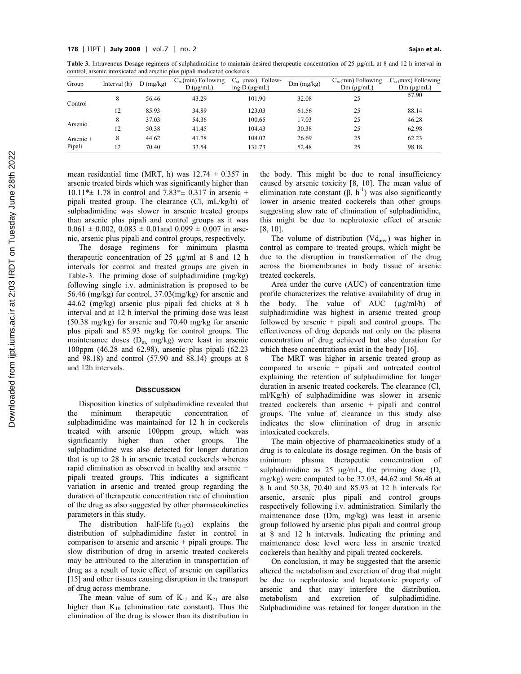Table 3. Intravenous Dosage regimens of sulphadimidine to maintain desired therapeutic concentration of 25  $\mu\alpha/mL$  at 8 and 12 h interval in control, arsenic intoxicated and arsenic plus pipali medicated cockerels.

| Group               | Interval (h) | D(mg/kg) | $C_{ss}$ (min) Following<br>$D(\mu g/mL)$ | (max) Follow-<br>$C_{ss}$<br>ing $D(\mu g/mL)$ | $Dm$ (mg/kg) | $C_{ss}$ (min) Following<br>$Dm (\mu g/mL)$ | $C_{ss}$ (max) Following<br>$Dm (\mu g/mL)$ |
|---------------------|--------------|----------|-------------------------------------------|------------------------------------------------|--------------|---------------------------------------------|---------------------------------------------|
| Control             | 8            | 56.46    | 43.29                                     | 101.90                                         | 32.08        | 25                                          | 57.90                                       |
|                     | 12           | 85.93    | 34.89                                     | 123.03                                         | 61.56        | 25                                          | 88.14                                       |
| Arsenic             | 8            | 37.03    | 54.36                                     | 100.65                                         | 17.03        | 25                                          | 46.28                                       |
|                     | 12           | 50.38    | 41.45                                     | 104.43                                         | 30.38        | 25                                          | 62.98                                       |
| Arsenic +<br>Pipali | 8            | 44.62    | 41.78                                     | 104.02                                         | 26.69        | 25                                          | 62.23                                       |
|                     | 12           | 70.40    | 33.54                                     | 131.73                                         | 52.48        | 25                                          | 98.18                                       |

mean residential time (MRT, h) was  $12.74 \pm 0.357$  in arsenic treated birds which was significantly higher than 10.11\* $\pm$  1.78 in control and 7.83\* $\pm$  0.317 in arsenic + pipali treated group. The clearance (Cl, mL/kg/h) of sulphadimidine was slower in arsenic treated groups than arsenic plus pipali and control groups as it was  $0.061 \pm 0.002$ ,  $0.083 \pm 0.01$  and  $0.099 \pm 0.007$  in arsenic, arsenic plus pipali and control groups, respectively.

The dosage regimens for minimum plasma therapeutic concentration of  $25 \text{ µg/ml}$  at 8 and 12 h intervals for control and treated groups are given in Table-3. The priming dose of sulphadimidine (mg/kg) following single i.v. administration is proposed to be 56.46 (mg/kg) for control, 37.03(mg/kg) for arsenic and 44.62 (mg/kg) arsenic plus pipali fed chicks at 8 h interval and at 12 h interval the priming dose was least (50.38 mg/kg) for arsenic and 70.40 mg/kg for arsenic plus pipali and 85.93 mg/kg for control groups. The maintenance doses  $(D_m \text{ mg/kg})$  were least in arsenic 100ppm (46.28 and 62.98), arsenic plus pipali (62.23 and 98.18) and control (57.90 and 88.14) groups at 8 and 12h intervals.

#### **DISSCUSSION**

Disposition kinetics of sulphadimidine revealed that the minimum therapeutic concentration of sulphadimidine was maintained for 12 h in cockerels treated with arsenic 100ppm group, which was significantly higher than other groups. The sulphadimidine was also detected for longer duration that is up to 28 h in arsenic treated cockerels whereas rapid elimination as observed in healthy and arsenic + pipali treated groups. This indicates a significant variation in arsenic and treated group regarding the duration of therapeutic concentration rate of elimination of the drug as also suggested by other pharmacokinetics parameters in this study.

The distribution half-life  $(t_{1/2}\alpha)$  explains the distribution of sulphadimidine faster in control in comparison to arsenic and arsenic + pipali groups. The slow distribution of drug in arsenic treated cockerels may be attributed to the alteration in transportation of drug as a result of toxic effect of arsenic on capillaries [15] and other tissues causing disruption in the transport of drug across membrane.

The mean value of sum of  $K_{12}$  and  $K_{21}$  are also higher than  $K_{10}$  (elimination rate constant). Thus the elimination of the drug is slower than its distribution in

the body. This might be due to renal insufficiency caused by arsenic toxicity [8, 10]. The mean value of elimination rate constant  $(\beta, h^{-1})$  was also significantly lower in arsenic treated cockerels than other groups suggesting slow rate of elimination of sulphadimidine, this might be due to nephrotoxic effect of arsenic [8, 10].

The volume of distribution  $(Vd<sub>area</sub>)$  was higher in control as compare to treated groups, which might be due to the disruption in transformation of the drug across the biomembranes in body tissue of arsenic treated cockerels.

Area under the curve (AUC) of concentration time profile characterizes the relative availability of drug in the body. The value of AUC  $(\mu g/ml/h)$  of sulphadimidine was highest in arsenic treated group followed by arsenic  $+$  pipali and control groups. The effectiveness of drug depends not only on the plasma concentration of drug achieved but also duration for which these concentrations exist in the body [16].

The MRT was higher in arsenic treated group as compared to arsenic + pipali and untreated control explaining the retention of sulphadimidine for longer duration in arsenic treated cockerels. The clearance (Cl, ml/Kg/h) of sulphadimidine was slower in arsenic treated cockerels than arsenic + pipali and control groups. The value of clearance in this study also indicates the slow elimination of drug in arsenic intoxicated cockerels.

The main objective of pharmacokinetics study of a drug is to calculate its dosage regimen. On the basis of minimum plasma therapeutic concentration of sulphadimidine as  $25 \mu g/mL$ , the priming dose (D, mg/kg) were computed to be 37.03, 44.62 and 56.46 at 8 h and 50.38, 70.40 and 85.93 at 12 h intervals for arsenic, arsenic plus pipali and control groups respectively following i.v. administration. Similarly the maintenance dose (Dm, mg/kg) was least in arsenic group followed by arsenic plus pipali and control group at 8 and 12 h intervals. Indicating the priming and maintenance dose level were less in arsenic treated cockerels than healthy and pipali treated cockerels.

On conclusion, it may be suggested that the arsenic altered the metabolism and excretion of drug that might be due to nephrotoxic and hepatotoxic property of arsenic and that may interfere the distribution, metabolism and excretion of sulphadimidine. metabolism and excretion of sulphadimidine. Sulphadimidine was retained for longer duration in the